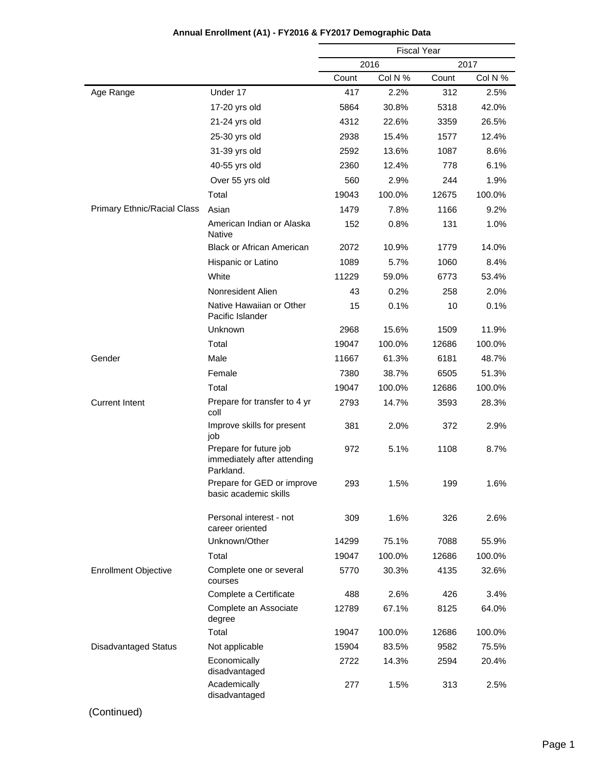|                             |                                                                    | <b>Fiscal Year</b> |         |       |         |
|-----------------------------|--------------------------------------------------------------------|--------------------|---------|-------|---------|
|                             |                                                                    |                    | 2016    |       | 2017    |
|                             |                                                                    | Count              | Col N % | Count | Col N % |
| Age Range                   | Under 17                                                           | 417                | 2.2%    | 312   | 2.5%    |
|                             | 17-20 yrs old                                                      | 5864               | 30.8%   | 5318  | 42.0%   |
|                             | 21-24 yrs old                                                      | 4312               | 22.6%   | 3359  | 26.5%   |
|                             | 25-30 yrs old                                                      | 2938               | 15.4%   | 1577  | 12.4%   |
|                             | 31-39 yrs old                                                      | 2592               | 13.6%   | 1087  | 8.6%    |
|                             | 40-55 yrs old                                                      | 2360               | 12.4%   | 778   | 6.1%    |
|                             | Over 55 yrs old                                                    | 560                | 2.9%    | 244   | 1.9%    |
|                             | Total                                                              | 19043              | 100.0%  | 12675 | 100.0%  |
| Primary Ethnic/Racial Class | Asian                                                              | 1479               | 7.8%    | 1166  | 9.2%    |
|                             | American Indian or Alaska<br><b>Native</b>                         | 152                | 0.8%    | 131   | 1.0%    |
|                             | <b>Black or African American</b>                                   | 2072               | 10.9%   | 1779  | 14.0%   |
|                             | Hispanic or Latino                                                 | 1089               | 5.7%    | 1060  | 8.4%    |
|                             | White                                                              | 11229              | 59.0%   | 6773  | 53.4%   |
|                             | Nonresident Alien                                                  | 43                 | 0.2%    | 258   | 2.0%    |
|                             | Native Hawaiian or Other<br>Pacific Islander                       | 15                 | 0.1%    | 10    | 0.1%    |
|                             | Unknown                                                            | 2968               | 15.6%   | 1509  | 11.9%   |
|                             | Total                                                              | 19047              | 100.0%  | 12686 | 100.0%  |
| Gender                      | Male                                                               | 11667              | 61.3%   | 6181  | 48.7%   |
|                             | Female                                                             | 7380               | 38.7%   | 6505  | 51.3%   |
|                             | Total                                                              | 19047              | 100.0%  | 12686 | 100.0%  |
| <b>Current Intent</b>       | Prepare for transfer to 4 yr<br>coll                               | 2793               | 14.7%   | 3593  | 28.3%   |
|                             | Improve skills for present<br>job                                  | 381                | 2.0%    | 372   | 2.9%    |
|                             | Prepare for future job<br>immediately after attending<br>Parkland. | 972                | 5.1%    | 1108  | 8.7%    |
|                             | Prepare for GED or improve<br>basic academic skills                | 293                | 1.5%    | 199   | 1.6%    |
|                             | Personal interest - not<br>career oriented                         | 309                | 1.6%    | 326   | 2.6%    |
|                             | Unknown/Other                                                      | 14299              | 75.1%   | 7088  | 55.9%   |
|                             | Total                                                              | 19047              | 100.0%  | 12686 | 100.0%  |
| <b>Enrollment Objective</b> | Complete one or several<br>courses                                 | 5770               | 30.3%   | 4135  | 32.6%   |
|                             | Complete a Certificate                                             | 488                | 2.6%    | 426   | 3.4%    |
|                             | Complete an Associate<br>degree                                    | 12789              | 67.1%   | 8125  | 64.0%   |
|                             | Total                                                              | 19047              | 100.0%  | 12686 | 100.0%  |
| <b>Disadvantaged Status</b> | Not applicable                                                     | 15904              | 83.5%   | 9582  | 75.5%   |
|                             | Economically<br>disadvantaged                                      | 2722               | 14.3%   | 2594  | 20.4%   |
|                             | Academically<br>disadvantaged                                      | 277                | 1.5%    | 313   | 2.5%    |

# **Annual Enrollment (A1) - FY2016 & FY2017 Demographic Data**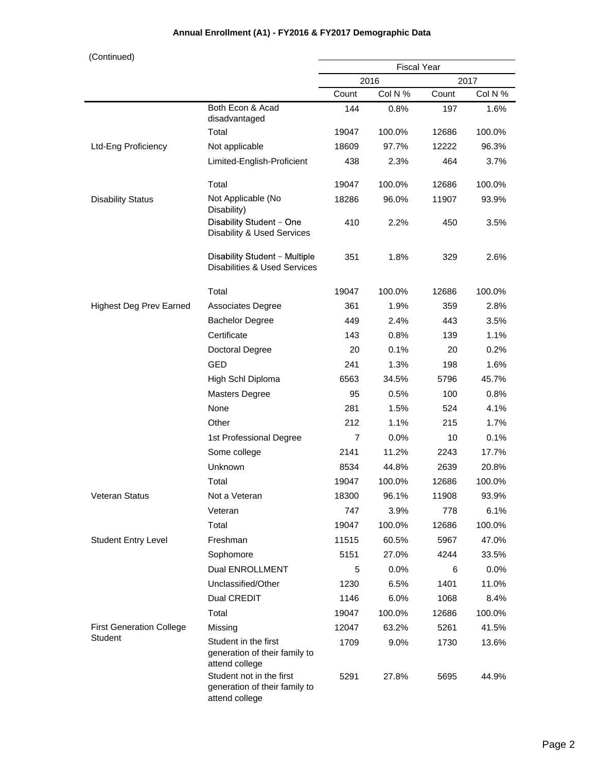# **Annual Enrollment (A1) - FY2016 & FY2017 Demographic Data**

| (Continued)                     |                                                                             |                |                    |       |         |
|---------------------------------|-----------------------------------------------------------------------------|----------------|--------------------|-------|---------|
|                                 |                                                                             |                | <b>Fiscal Year</b> |       |         |
|                                 |                                                                             |                | 2016               |       | 2017    |
|                                 |                                                                             | Count          | Col N %            | Count | Col N % |
|                                 | Both Econ & Acad<br>disadvantaged                                           | 144            | 0.8%               | 197   | 1.6%    |
|                                 | Total                                                                       | 19047          | 100.0%             | 12686 | 100.0%  |
| Ltd-Eng Proficiency             | Not applicable                                                              | 18609          | 97.7%              | 12222 | 96.3%   |
|                                 | Limited-English-Proficient                                                  | 438            | 2.3%               | 464   | 3.7%    |
|                                 | Total                                                                       | 19047          | 100.0%             | 12686 | 100.0%  |
| <b>Disability Status</b>        | Not Applicable (No<br>Disability)                                           | 18286          | 96.0%              | 11907 | 93.9%   |
|                                 | Disability Student - One<br>Disability & Used Services                      | 410            | 2.2%               | 450   | 3.5%    |
|                                 | Disability Student - Multiple<br><b>Disabilities &amp; Used Services</b>    | 351            | 1.8%               | 329   | 2.6%    |
|                                 | Total                                                                       | 19047          | 100.0%             | 12686 | 100.0%  |
| <b>Highest Deg Prev Earned</b>  | <b>Associates Degree</b>                                                    | 361            | 1.9%               | 359   | 2.8%    |
|                                 | <b>Bachelor Degree</b>                                                      | 449            | 2.4%               | 443   | 3.5%    |
|                                 | Certificate                                                                 | 143            | $0.8\%$            | 139   | 1.1%    |
|                                 | Doctoral Degree                                                             | 20             | 0.1%               | 20    | 0.2%    |
|                                 | <b>GED</b>                                                                  | 241            | 1.3%               | 198   | 1.6%    |
|                                 | High Schl Diploma                                                           | 6563           | 34.5%              | 5796  | 45.7%   |
|                                 | <b>Masters Degree</b>                                                       | 95             | 0.5%               | 100   | 0.8%    |
|                                 | None                                                                        | 281            | 1.5%               | 524   | 4.1%    |
|                                 | Other                                                                       | 212            | 1.1%               | 215   | 1.7%    |
|                                 | 1st Professional Degree                                                     | $\overline{7}$ | 0.0%               | 10    | 0.1%    |
|                                 | Some college                                                                | 2141           | 11.2%              | 2243  | 17.7%   |
|                                 | Unknown                                                                     | 8534           | 44.8%              | 2639  | 20.8%   |
|                                 | Total                                                                       | 19047          | 100.0%             | 12686 | 100.0%  |
| <b>Veteran Status</b>           | Not a Veteran                                                               | 18300          | 96.1%              | 11908 | 93.9%   |
|                                 | Veteran                                                                     | 747            | 3.9%               | 778   | 6.1%    |
|                                 | Total                                                                       | 19047          | 100.0%             | 12686 | 100.0%  |
| <b>Student Entry Level</b>      | Freshman                                                                    | 11515          | 60.5%              | 5967  | 47.0%   |
|                                 | Sophomore                                                                   | 5151           | 27.0%              | 4244  | 33.5%   |
|                                 | <b>Dual ENROLLMENT</b>                                                      | 5              | 0.0%               | 6     | 0.0%    |
|                                 | Unclassified/Other                                                          | 1230           | 6.5%               | 1401  | 11.0%   |
|                                 | Dual CREDIT                                                                 | 1146           | 6.0%               | 1068  | 8.4%    |
|                                 | Total                                                                       | 19047          | 100.0%             | 12686 | 100.0%  |
| <b>First Generation College</b> | Missing                                                                     | 12047          | 63.2%              | 5261  | 41.5%   |
| Student                         | Student in the first<br>generation of their family to<br>attend college     | 1709           | 9.0%               | 1730  | 13.6%   |
|                                 | Student not in the first<br>generation of their family to<br>attend college | 5291           | 27.8%              | 5695  | 44.9%   |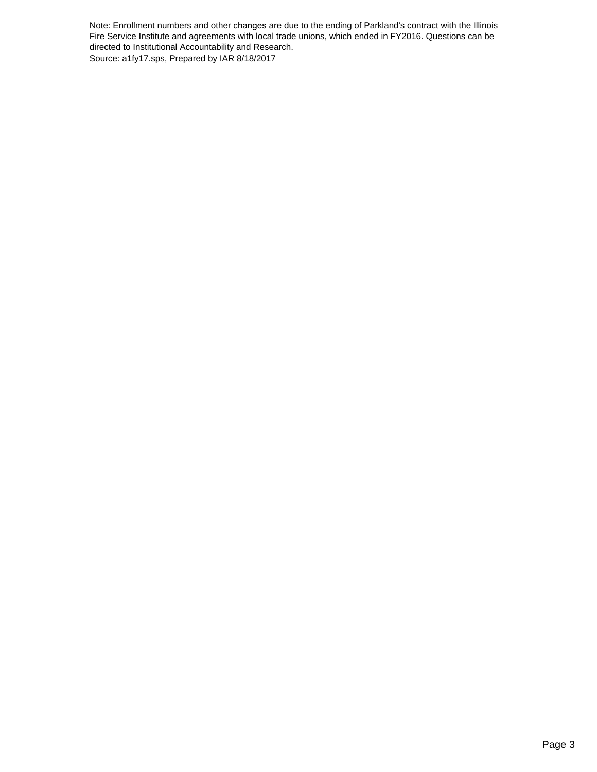Note: Enrollment numbers and other changes are due to the ending of Parkland's contract with the Illinois Fire Service Institute and agreements with local trade unions, which ended in FY2016. Questions can be directed to Institutional Accountability and Research. Source: a1fy17.sps, Prepared by IAR 8/18/2017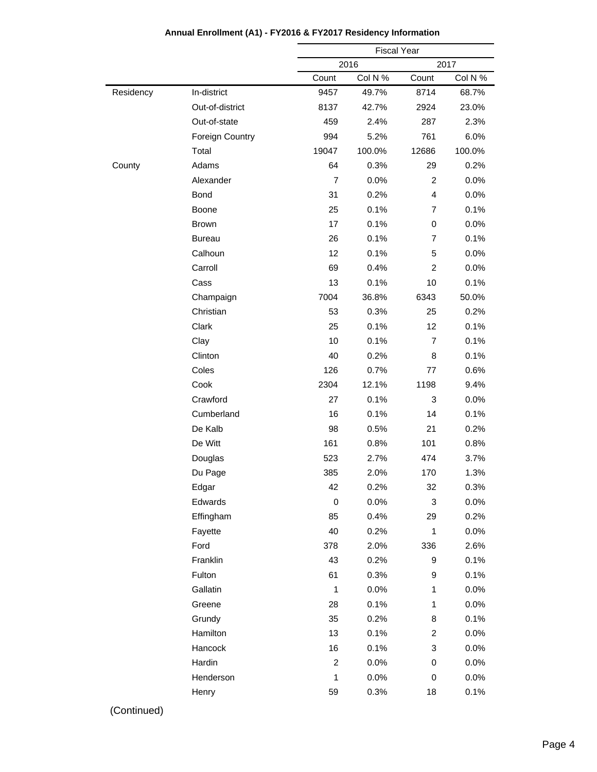|           |                 |                | <b>Fiscal Year</b> |                |         |
|-----------|-----------------|----------------|--------------------|----------------|---------|
|           |                 |                | 2016               |                | 2017    |
|           |                 | Count          | Col N %            | Count          | Col N % |
| Residency | In-district     | 9457           | 49.7%              | 8714           | 68.7%   |
|           | Out-of-district | 8137           | 42.7%              | 2924           | 23.0%   |
|           | Out-of-state    | 459            | 2.4%               | 287            | 2.3%    |
|           | Foreign Country | 994            | 5.2%               | 761            | 6.0%    |
|           | Total           | 19047          | 100.0%             | 12686          | 100.0%  |
| County    | Adams           | 64             | 0.3%               | 29             | 0.2%    |
|           | Alexander       | $\overline{7}$ | 0.0%               | $\overline{c}$ | 0.0%    |
|           | Bond            | 31             | 0.2%               | 4              | 0.0%    |
|           | Boone           | 25             | 0.1%               | $\overline{7}$ | 0.1%    |
|           | Brown           | 17             | 0.1%               | 0              | 0.0%    |
|           | <b>Bureau</b>   | 26             | 0.1%               | $\overline{7}$ | 0.1%    |
|           | Calhoun         | 12             | 0.1%               | 5              | 0.0%    |
|           | Carroll         | 69             | 0.4%               | 2              | 0.0%    |
|           | Cass            | 13             | 0.1%               | 10             | 0.1%    |
|           | Champaign       | 7004           | 36.8%              | 6343           | 50.0%   |
|           | Christian       | 53             | 0.3%               | 25             | 0.2%    |
|           | Clark           | 25             | 0.1%               | 12             | 0.1%    |
|           | Clay            | 10             | 0.1%               | 7              | 0.1%    |
|           | Clinton         | 40             | 0.2%               | 8              | 0.1%    |
|           | Coles           | 126            | 0.7%               | 77             | 0.6%    |
|           | Cook            | 2304           | 12.1%              | 1198           | 9.4%    |
|           | Crawford        | 27             | 0.1%               | 3              | 0.0%    |
|           | Cumberland      | 16             | 0.1%               | 14             | 0.1%    |
|           | De Kalb         | 98             | 0.5%               | 21             | 0.2%    |
|           | De Witt         | 161            | 0.8%               | 101            | 0.8%    |
|           | Douglas         | 523            | 2.7%               | 474            | 3.7%    |
|           | Du Page         | 385            | 2.0%               | 170            | 1.3%    |
|           | Edgar           | 42             | 0.2%               | 32             | 0.3%    |
|           | Edwards         | $\mathbf 0$    | 0.0%               | 3              | 0.0%    |
|           | Effingham       | 85             | 0.4%               | 29             | 0.2%    |
|           | Fayette         | 40             | 0.2%               | 1              | 0.0%    |
|           | Ford            | 378            | 2.0%               | 336            | 2.6%    |
|           | Franklin        | 43             | 0.2%               | 9              | 0.1%    |
|           | Fulton          | 61             | 0.3%               | 9              | 0.1%    |
|           | Gallatin        | $\mathbf 1$    | 0.0%               | 1              | 0.0%    |
|           | Greene          | 28             | 0.1%               | 1              | 0.0%    |
|           | Grundy          | 35             | 0.2%               | 8              | 0.1%    |
|           | Hamilton        | 13             | 0.1%               | $\overline{c}$ | 0.0%    |
|           | Hancock         | 16             | 0.1%               | 3              | 0.0%    |
|           |                 |                |                    |                |         |
|           | Hardin          | $\overline{c}$ | 0.0%               | 0              | 0.0%    |
|           | Henderson       | $\mathbf{1}$   | 0.0%               | 0              | 0.0%    |

#### **Annual Enrollment (A1) - FY2016 & FY2017 Residency Information**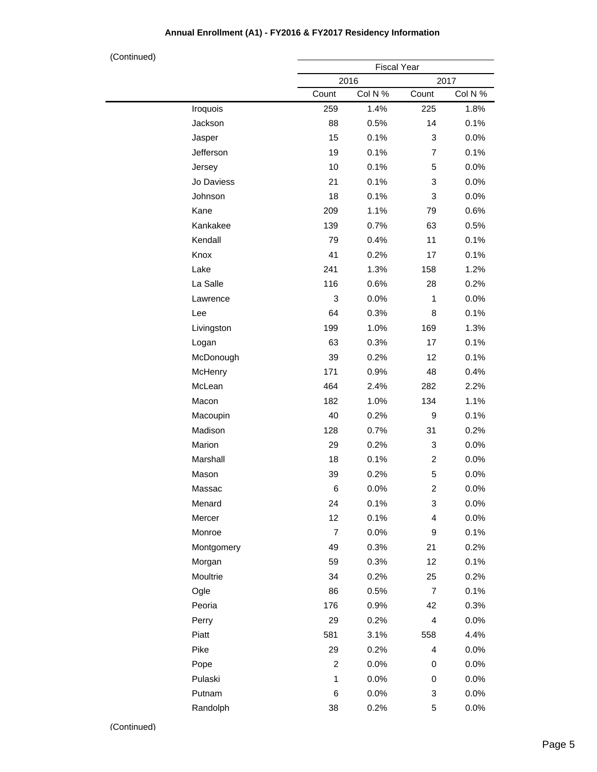## **Annual Enrollment (A1) - FY2016 & FY2017 Residency Information**

| (Continued) |            |                | <b>Fiscal Year</b> |                         |         |
|-------------|------------|----------------|--------------------|-------------------------|---------|
|             |            |                | 2016               |                         | 2017    |
|             |            | Count          | Col N %            | Count                   | Col N % |
|             | Iroquois   | 259            | 1.4%               | 225                     | 1.8%    |
|             | Jackson    | 88             | 0.5%               | 14                      | 0.1%    |
|             | Jasper     | 15             | 0.1%               | 3                       | 0.0%    |
|             | Jefferson  | 19             | 0.1%               | $\overline{7}$          | 0.1%    |
|             | Jersey     | 10             | 0.1%               | 5                       | 0.0%    |
|             | Jo Daviess | 21             | 0.1%               | 3                       | 0.0%    |
|             | Johnson    | 18             | 0.1%               | 3                       | 0.0%    |
|             | Kane       | 209            | 1.1%               | 79                      | 0.6%    |
|             | Kankakee   | 139            | 0.7%               | 63                      | 0.5%    |
|             | Kendall    | 79             | 0.4%               | 11                      | 0.1%    |
|             | Knox       | 41             | 0.2%               | 17                      | 0.1%    |
|             | Lake       | 241            | 1.3%               | 158                     | 1.2%    |
|             | La Salle   | 116            | 0.6%               | 28                      | 0.2%    |
|             | Lawrence   | 3              | 0.0%               | $\mathbf{1}$            | 0.0%    |
|             | Lee        | 64             | 0.3%               | 8                       | 0.1%    |
|             | Livingston | 199            | 1.0%               | 169                     | 1.3%    |
|             | Logan      | 63             | 0.3%               | 17                      | 0.1%    |
|             | McDonough  | 39             | 0.2%               | 12                      | 0.1%    |
|             | McHenry    | 171            | 0.9%               | 48                      | 0.4%    |
|             | McLean     | 464            | 2.4%               | 282                     | 2.2%    |
|             | Macon      | 182            | 1.0%               | 134                     | 1.1%    |
|             | Macoupin   | 40             | 0.2%               | 9                       | 0.1%    |
|             | Madison    | 128            | 0.7%               | 31                      | 0.2%    |
|             | Marion     | 29             | 0.2%               | 3                       | 0.0%    |
|             | Marshall   | 18             | 0.1%               | $\overline{\mathbf{c}}$ | 0.0%    |
|             | Mason      | 39             | 0.2%               | 5                       | 0.0%    |
|             | Massac     | 6              | 0.0%               | 2                       | 0.0%    |
|             | Menard     | 24             | 0.1%               | 3                       | 0.0%    |
|             | Mercer     | 12             | 0.1%               | 4                       | 0.0%    |
|             | Monroe     | $\overline{7}$ | 0.0%               | 9                       | 0.1%    |
|             | Montgomery | 49             | 0.3%               | 21                      | 0.2%    |
|             | Morgan     | 59             | 0.3%               | 12                      | 0.1%    |
|             | Moultrie   | 34             | 0.2%               | 25                      | 0.2%    |
|             | Ogle       | 86             | 0.5%               | 7                       | 0.1%    |
|             | Peoria     | 176            | 0.9%               | 42                      | 0.3%    |
|             | Perry      | 29             | 0.2%               | 4                       | 0.0%    |
|             | Piatt      | 581            | 3.1%               | 558                     | 4.4%    |
|             | Pike       | 29             | 0.2%               | 4                       | 0.0%    |
|             | Pope       | $\overline{c}$ | 0.0%               | 0                       | 0.0%    |
|             | Pulaski    | 1              | 0.0%               | 0                       | 0.0%    |
|             | Putnam     | 6              | 0.0%               | 3                       | 0.0%    |
|             | Randolph   | 38             | 0.2%               | 5                       | 0.0%    |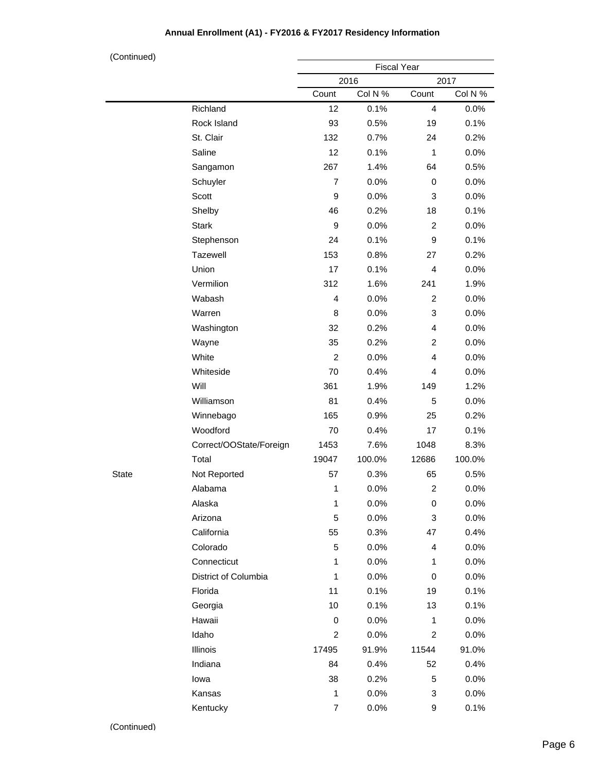## **Annual Enrollment (A1) - FY2016 & FY2017 Residency Information**

| (Continued)  |                         |                  |                    |                         |         |  |
|--------------|-------------------------|------------------|--------------------|-------------------------|---------|--|
|              |                         |                  | <b>Fiscal Year</b> |                         |         |  |
|              |                         |                  | 2016               |                         | 2017    |  |
|              |                         | Count            | Col N %            | Count                   | Col N % |  |
|              | Richland                | 12               | 0.1%               | $\overline{4}$          | 0.0%    |  |
|              | Rock Island             | 93               | 0.5%               | 19                      | 0.1%    |  |
|              | St. Clair               | 132              | 0.7%               | 24                      | 0.2%    |  |
|              | Saline                  | 12               | 0.1%               | $\mathbf{1}$            | 0.0%    |  |
|              | Sangamon                | 267              | 1.4%               | 64                      | 0.5%    |  |
|              | Schuyler                | $\overline{7}$   | 0.0%               | 0                       | 0.0%    |  |
|              | Scott                   | 9                | 0.0%               | 3                       | 0.0%    |  |
|              | Shelby                  | 46               | 0.2%               | 18                      | 0.1%    |  |
|              | <b>Stark</b>            | $\boldsymbol{9}$ | 0.0%               | $\overline{c}$          | 0.0%    |  |
|              | Stephenson              | 24               | 0.1%               | 9                       | 0.1%    |  |
|              | Tazewell                | 153              | 0.8%               | 27                      | 0.2%    |  |
|              | Union                   | 17               | 0.1%               | $\overline{4}$          | 0.0%    |  |
|              | Vermilion               | 312              | 1.6%               | 241                     | 1.9%    |  |
|              | Wabash                  | $\overline{4}$   | 0.0%               | $\overline{c}$          | 0.0%    |  |
|              | Warren                  | 8                | 0.0%               | 3                       | 0.0%    |  |
|              | Washington              | 32               | 0.2%               | $\overline{4}$          | 0.0%    |  |
|              | Wayne                   | 35               | 0.2%               | $\overline{c}$          | 0.0%    |  |
|              | White                   | $\overline{c}$   | 0.0%               | $\overline{4}$          | 0.0%    |  |
|              | Whiteside               | 70               | 0.4%               | $\overline{4}$          | 0.0%    |  |
|              | Will                    | 361              | 1.9%               | 149                     | 1.2%    |  |
|              | Williamson              | 81               | 0.4%               | 5                       | 0.0%    |  |
|              | Winnebago               | 165              | 0.9%               | 25                      | 0.2%    |  |
|              | Woodford                | 70               | 0.4%               | 17                      | 0.1%    |  |
|              | Correct/OOState/Foreign | 1453             | 7.6%               | 1048                    | 8.3%    |  |
|              | Total                   | 19047            | 100.0%             | 12686                   | 100.0%  |  |
| <b>State</b> | Not Reported            | 57               | 0.3%               | 65                      | 0.5%    |  |
|              | Alabama                 | 1                | 0.0%               | $\overline{\mathbf{c}}$ | 0.0%    |  |
|              | Alaska                  | 1                | 0.0%               | 0                       | 0.0%    |  |
|              | Arizona                 | 5                | 0.0%               | 3                       | 0.0%    |  |
|              | California              | 55               | 0.3%               | 47                      | 0.4%    |  |
|              | Colorado                | 5                | 0.0%               | 4                       | 0.0%    |  |
|              | Connecticut             | 1                | 0.0%               | 1                       | 0.0%    |  |
|              | District of Columbia    | 1                | 0.0%               | 0                       | 0.0%    |  |
|              | Florida                 | 11               | 0.1%               | 19                      | 0.1%    |  |
|              | Georgia                 | 10               | 0.1%               | 13                      | 0.1%    |  |
|              | Hawaii                  | 0                | 0.0%               | 1                       | 0.0%    |  |
|              | Idaho                   | $\overline{c}$   | 0.0%               | $\overline{c}$          | 0.0%    |  |
|              | Illinois                | 17495            | 91.9%              | 11544                   | 91.0%   |  |
|              | Indiana                 | 84               | 0.4%               | 52                      | 0.4%    |  |
|              | lowa                    | 38               | 0.2%               | 5                       | 0.0%    |  |
|              | Kansas                  | 1                | 0.0%               | 3                       | 0.0%    |  |
|              | Kentucky                | $\boldsymbol{7}$ | 0.0%               | 9                       | 0.1%    |  |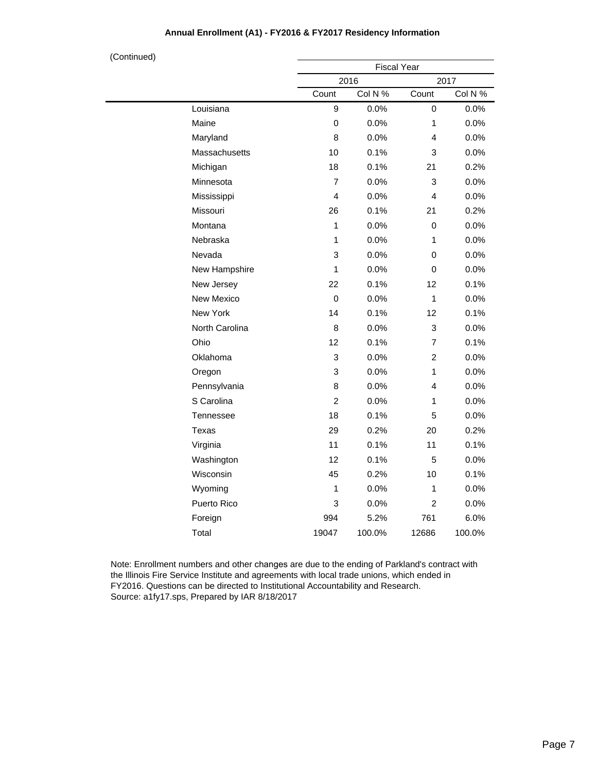| (Continued) |                  |                | <b>Fiscal Year</b> |                |         |  |  |
|-------------|------------------|----------------|--------------------|----------------|---------|--|--|
|             |                  |                | 2016               |                | 2017    |  |  |
|             |                  | Count          | Col N %            | Count          | Col N % |  |  |
|             | Louisiana        | 9              | 0.0%               | 0              | 0.0%    |  |  |
|             | Maine            | 0              | 0.0%               | 1              | 0.0%    |  |  |
|             | Maryland         | 8              | 0.0%               | 4              | 0.0%    |  |  |
|             | Massachusetts    | 10             | 0.1%               | 3              | 0.0%    |  |  |
|             | Michigan         | 18             | 0.1%               | 21             | 0.2%    |  |  |
|             | Minnesota        | $\overline{7}$ | 0.0%               | 3              | 0.0%    |  |  |
|             | Mississippi      | 4              | 0.0%               | 4              | 0.0%    |  |  |
|             | Missouri         | 26             | 0.1%               | 21             | 0.2%    |  |  |
|             | Montana          | 1              | 0.0%               | 0              | 0.0%    |  |  |
|             | Nebraska         | 1              | 0.0%               | 1              | 0.0%    |  |  |
|             | Nevada           | 3              | 0.0%               | 0              | 0.0%    |  |  |
|             | New Hampshire    | 1              | 0.0%               | 0              | 0.0%    |  |  |
|             | New Jersey       | 22             | 0.1%               | 12             | 0.1%    |  |  |
|             | New Mexico       | $\mathbf 0$    | 0.0%               | 1              | 0.0%    |  |  |
|             | New York         | 14             | 0.1%               | 12             | 0.1%    |  |  |
|             | North Carolina   | 8              | 0.0%               | 3              | 0.0%    |  |  |
|             | Ohio             | 12             | 0.1%               | $\overline{7}$ | 0.1%    |  |  |
|             | Oklahoma         | 3              | 0.0%               | $\overline{c}$ | 0.0%    |  |  |
|             | Oregon           | 3              | 0.0%               | $\mathbf{1}$   | 0.0%    |  |  |
|             | Pennsylvania     | 8              | 0.0%               | 4              | 0.0%    |  |  |
|             | S Carolina       | $\overline{c}$ | 0.0%               | 1              | 0.0%    |  |  |
|             | <b>Tennessee</b> | 18             | 0.1%               | 5              | 0.0%    |  |  |
|             | Texas            | 29             | 0.2%               | 20             | 0.2%    |  |  |
|             | Virginia         | 11             | 0.1%               | 11             | 0.1%    |  |  |
|             | Washington       | 12             | 0.1%               | 5              | 0.0%    |  |  |
|             | Wisconsin        | 45             | 0.2%               | 10             | 0.1%    |  |  |
|             | Wyoming          | 1              | 0.0%               | 1              | 0.0%    |  |  |
|             | Puerto Rico      | 3              | 0.0%               | $\overline{c}$ | 0.0%    |  |  |
|             | Foreign          | 994            | 5.2%               | 761            | 6.0%    |  |  |
|             | Total            | 19047          | 100.0%             | 12686          | 100.0%  |  |  |

Note: Enrollment numbers and other changes are due to the ending of Parkland's contract with the Illinois Fire Service Institute and agreements with local trade unions, which ended in FY2016. Questions can be directed to Institutional Accountability and Research. Source: a1fy17.sps, Prepared by IAR 8/18/2017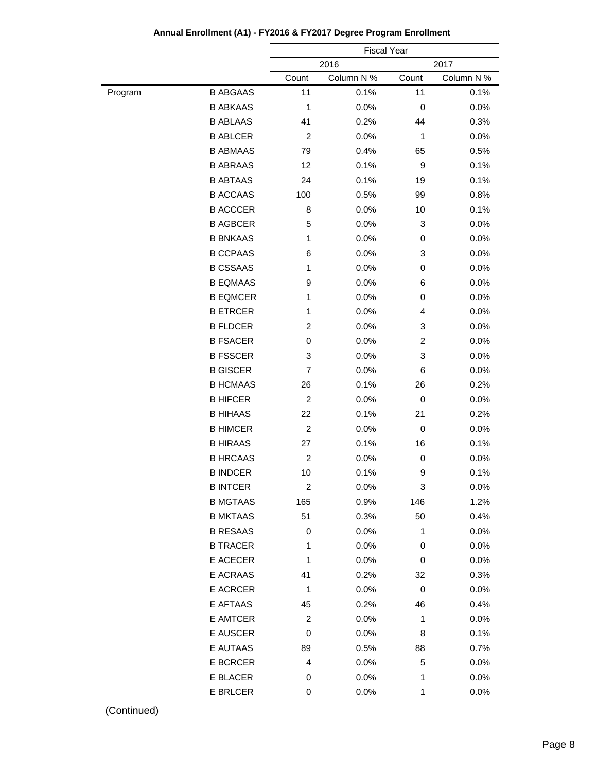|         |                 |                | <b>Fiscal Year</b> |              |            |  |
|---------|-----------------|----------------|--------------------|--------------|------------|--|
|         |                 |                | 2016               |              | 2017       |  |
|         |                 | Count          | Column N %         | Count        | Column N % |  |
| Program | <b>B ABGAAS</b> | 11             | 0.1%               | 11           | 0.1%       |  |
|         | <b>B ABKAAS</b> | 1              | 0.0%               | 0            | 0.0%       |  |
|         | <b>B ABLAAS</b> | 41             | 0.2%               | 44           | 0.3%       |  |
|         | <b>B ABLCER</b> | $\overline{2}$ | 0.0%               | 1            | 0.0%       |  |
|         | <b>B ABMAAS</b> | 79             | 0.4%               | 65           | 0.5%       |  |
|         | <b>B ABRAAS</b> | 12             | 0.1%               | 9            | 0.1%       |  |
|         | <b>B ABTAAS</b> | 24             | 0.1%               | 19           | 0.1%       |  |
|         | <b>B ACCAAS</b> | 100            | 0.5%               | 99           | 0.8%       |  |
|         | <b>B ACCCER</b> | 8              | 0.0%               | 10           | 0.1%       |  |
|         | <b>B AGBCER</b> | 5              | 0.0%               | 3            | 0.0%       |  |
|         | <b>B BNKAAS</b> | 1              | 0.0%               | 0            | 0.0%       |  |
|         | <b>B CCPAAS</b> | 6              | 0.0%               | 3            | 0.0%       |  |
|         | <b>B CSSAAS</b> | 1              | 0.0%               | 0            | 0.0%       |  |
|         | <b>B EQMAAS</b> | 9              | 0.0%               | 6            | 0.0%       |  |
|         | <b>B EQMCER</b> | 1              | 0.0%               | 0            | 0.0%       |  |
|         | <b>B ETRCER</b> | 1              | 0.0%               | 4            | 0.0%       |  |
|         | <b>B FLDCER</b> | $\overline{2}$ | 0.0%               | 3            | 0.0%       |  |
|         | <b>B FSACER</b> | 0              | 0.0%               | 2            | 0.0%       |  |
|         | <b>B FSSCER</b> | 3              | 0.0%               | 3            | 0.0%       |  |
|         | <b>B GISCER</b> | 7              | 0.0%               | 6            | 0.0%       |  |
|         | <b>B HCMAAS</b> | 26             | 0.1%               | 26           | 0.2%       |  |
|         | <b>B HIFCER</b> | $\overline{2}$ | 0.0%               | 0            | 0.0%       |  |
|         | <b>B HIHAAS</b> | 22             | 0.1%               | 21           | 0.2%       |  |
|         | <b>B HIMCER</b> | $\overline{2}$ | 0.0%               | 0            | 0.0%       |  |
|         | <b>B HIRAAS</b> | 27             | 0.1%               | 16           | 0.1%       |  |
|         | <b>B HRCAAS</b> | $\overline{2}$ | 0.0%               | 0            | 0.0%       |  |
|         | <b>B INDCER</b> | 10             | 0.1%               | 9            | 0.1%       |  |
|         | <b>B INTCER</b> | 2              | 0.0%               | 3            | 0.0%       |  |
|         | <b>B MGTAAS</b> | 165            | 0.9%               | 146          | 1.2%       |  |
|         | <b>B MKTAAS</b> | 51             | 0.3%               | 50           | 0.4%       |  |
|         | <b>B RESAAS</b> | 0              | 0.0%               | 1            | 0.0%       |  |
|         | <b>B TRACER</b> | 1              | 0.0%               | 0            | 0.0%       |  |
|         | E ACECER        | 1              | 0.0%               | 0            | 0.0%       |  |
|         | E ACRAAS        | 41             | 0.2%               | 32           | 0.3%       |  |
|         | <b>E ACRCER</b> | 1              | 0.0%               | 0            | 0.0%       |  |
|         | E AFTAAS        | 45             | 0.2%               | 46           | 0.4%       |  |
|         | E AMTCER        | 2              | 0.0%               | 1            | 0.0%       |  |
|         | E AUSCER        | $\mathbf 0$    | 0.0%               | 8            | 0.1%       |  |
|         | E AUTAAS        | 89             | 0.5%               | 88           | 0.7%       |  |
|         | E BCRCER        | 4              | 0.0%               | 5            | 0.0%       |  |
|         | E BLACER        | 0              | 0.0%               | 1            | 0.0%       |  |
|         | E BRLCER        | 0              | 0.0%               | $\mathbf{1}$ | 0.0%       |  |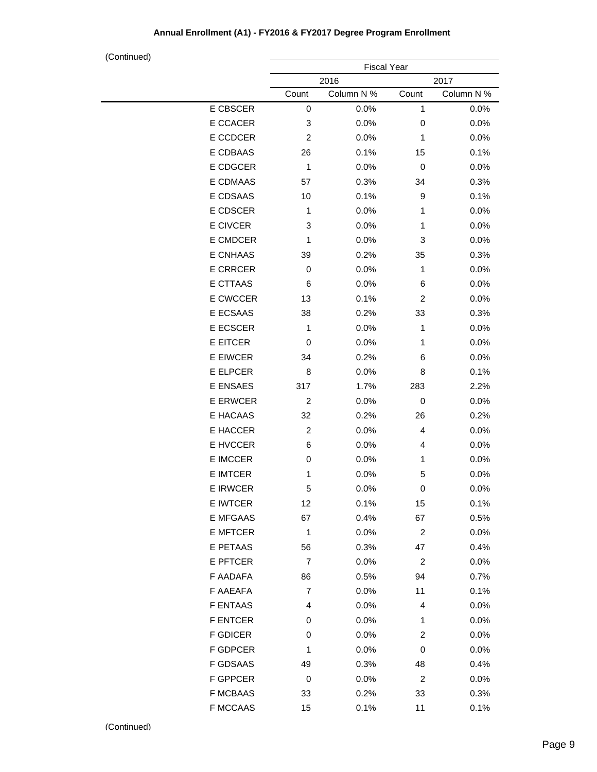|                 |                | <b>Fiscal Year</b> |                         |            |
|-----------------|----------------|--------------------|-------------------------|------------|
|                 |                | 2016               |                         | 2017       |
|                 | Count          | Column N %         | Count                   | Column N % |
| E CBSCER        | 0              | 0.0%               | 1                       | 0.0%       |
| E CCACER        | 3              | 0.0%               | 0                       | 0.0%       |
| E CCDCER        | $\overline{c}$ | 0.0%               | 1                       | 0.0%       |
| E CDBAAS        | 26             | 0.1%               | 15                      | 0.1%       |
| E CDGCER        | 1              | 0.0%               | 0                       | 0.0%       |
| E CDMAAS        | 57             | 0.3%               | 34                      | 0.3%       |
| E CDSAAS        | 10             | 0.1%               | 9                       | 0.1%       |
| E CDSCER        | 1              | 0.0%               | 1                       | 0.0%       |
| E CIVCER        | 3              | 0.0%               | 1                       | 0.0%       |
| E CMDCER        | 1              | 0.0%               | 3                       | 0.0%       |
| E CNHAAS        | 39             | 0.2%               | 35                      | 0.3%       |
| <b>E CRRCER</b> | 0              | 0.0%               | 1                       | 0.0%       |
| E CTTAAS        | 6              | 0.0%               | 6                       | 0.0%       |
| E CWCCER        | 13             | 0.1%               | 2                       | 0.0%       |
| E ECSAAS        | 38             | 0.2%               | 33                      | 0.3%       |
| E ECSCER        | 1              | 0.0%               | 1                       | 0.0%       |
| <b>E EITCER</b> | 0              | 0.0%               | 1                       | 0.0%       |
| <b>E EIWCER</b> | 34             | 0.2%               | 6                       | 0.0%       |
| E ELPCER        | 8              | 0.0%               | 8                       | 0.1%       |
| E ENSAES        | 317            | 1.7%               | 283                     | 2.2%       |
| <b>E ERWCER</b> | $\overline{c}$ | 0.0%               | 0                       | 0.0%       |
| E HACAAS        | 32             | 0.2%               | 26                      | 0.2%       |
| E HACCER        | $\overline{c}$ | 0.0%               | 4                       | 0.0%       |
| E HVCCER        | 6              | 0.0%               | 4                       | 0.0%       |
| <b>E IMCCER</b> | 0              | 0.0%               | 1                       | 0.0%       |
| <b>E IMTCER</b> | 1              | 0.0%               | 5                       | 0.0%       |
| <b>E IRWCER</b> | 5              | 0.0%               | 0                       | 0.0%       |
| E IWTCER        | 12             | 0.1%               | 15                      | 0.1%       |
| E MFGAAS        | 67             | 0.4%               | 67                      | 0.5%       |
| E MFTCER        | 1              | 0.0%               | $\overline{c}$          | 0.0%       |
| E PETAAS        | 56             | 0.3%               | 47                      | 0.4%       |
| E PFTCER        | 7              | 0.0%               | 2                       | 0.0%       |
| F AADAFA        | 86             | 0.5%               | 94                      | 0.7%       |
| F AAEAFA        | 7              | 0.0%               | 11                      | 0.1%       |
| F ENTAAS        | 4              | 0.0%               | 4                       | 0.0%       |
| <b>F ENTCER</b> | 0              | 0.0%               | 1                       | 0.0%       |
| <b>F GDICER</b> | 0              | 0.0%               | 2                       | 0.0%       |
| F GDPCER        | 1              | 0.0%               | 0                       | 0.0%       |
| F GDSAAS        | 49             | 0.3%               | 48                      | 0.4%       |
| F GPPCER        | 0              | 0.0%               | $\overline{\mathbf{c}}$ | 0.0%       |
| <b>F MCBAAS</b> | 33             | 0.2%               | 33                      | 0.3%       |
| F MCCAAS        | 15             | 0.1%               | 11                      | 0.1%       |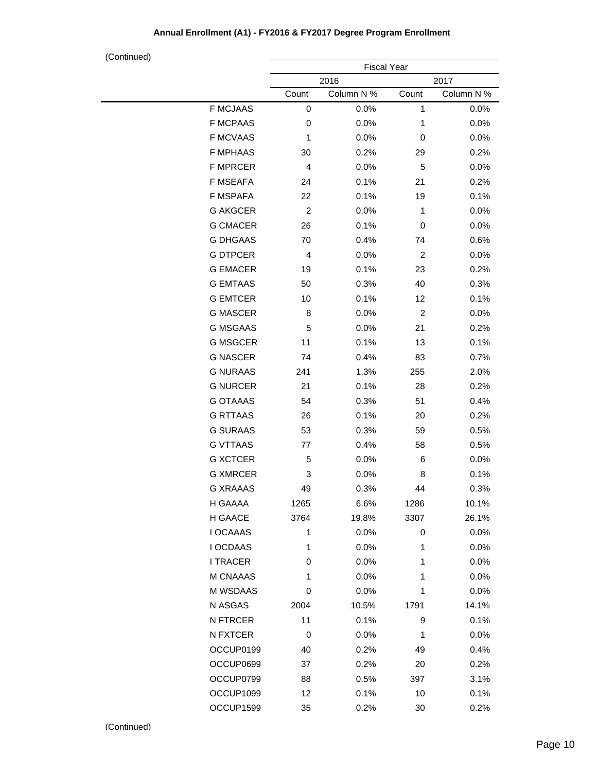|                 | <b>Fiscal Year</b> |            |                         |            |
|-----------------|--------------------|------------|-------------------------|------------|
|                 |                    | 2016       |                         | 2017       |
|                 | Count              | Column N % | Count                   | Column N % |
| <b>F MCJAAS</b> | 0                  | 0.0%       | 1                       | 0.0%       |
| <b>F MCPAAS</b> | 0                  | 0.0%       | 1                       | 0.0%       |
| <b>F MCVAAS</b> | 1                  | 0.0%       | 0                       | 0.0%       |
| <b>F MPHAAS</b> | 30                 | 0.2%       | 29                      | 0.2%       |
| <b>F MPRCER</b> | 4                  | 0.0%       | 5                       | 0.0%       |
| <b>F MSEAFA</b> | 24                 | 0.1%       | 21                      | 0.2%       |
| F MSPAFA        | 22                 | 0.1%       | 19                      | 0.1%       |
| <b>G AKGCER</b> | $\overline{c}$     | 0.0%       | 1                       | 0.0%       |
| <b>G CMACER</b> | 26                 | 0.1%       | 0                       | 0.0%       |
| <b>G DHGAAS</b> | 70                 | 0.4%       | 74                      | 0.6%       |
| <b>G DTPCER</b> | 4                  | 0.0%       | $\overline{\mathbf{c}}$ | 0.0%       |
| <b>G EMACER</b> | 19                 | 0.1%       | 23                      | 0.2%       |
| <b>G EMTAAS</b> | 50                 | 0.3%       | 40                      | 0.3%       |
| <b>G EMTCER</b> | 10                 | 0.1%       | 12                      | 0.1%       |
| <b>G MASCER</b> | 8                  | 0.0%       | $\overline{c}$          | 0.0%       |
| <b>G MSGAAS</b> | 5                  | 0.0%       | 21                      | 0.2%       |
| <b>G MSGCER</b> | 11                 | 0.1%       | 13                      | 0.1%       |
| <b>G NASCER</b> | 74                 | 0.4%       | 83                      | 0.7%       |
| <b>G NURAAS</b> | 241                | 1.3%       | 255                     | 2.0%       |
| <b>G NURCER</b> | 21                 | 0.1%       | 28                      | 0.2%       |
| <b>G OTAAAS</b> | 54                 | 0.3%       | 51                      | 0.4%       |
| <b>G RTTAAS</b> | 26                 | 0.1%       | 20                      | 0.2%       |
| <b>G SURAAS</b> | 53                 | 0.3%       | 59                      | 0.5%       |
| <b>G VTTAAS</b> | 77                 | 0.4%       | 58                      | 0.5%       |
| <b>G XCTCER</b> | 5                  | 0.0%       | 6                       | 0.0%       |
| <b>G XMRCER</b> | 3                  | 0.0%       | 8                       | 0.1%       |
| <b>G XRAAAS</b> | 49                 | 0.3%       | 44                      | 0.3%       |
| H GAAAA         | 1265               | 6.6%       | 1286                    | 10.1%      |
| H GAACE         | 3764               | 19.8%      | 3307                    | 26.1%      |
| <b>I OCAAAS</b> | 1                  | 0.0%       | 0                       | 0.0%       |
| I OCDAAS        | 1                  | 0.0%       | 1                       | 0.0%       |
| <b>I TRACER</b> | 0                  | 0.0%       | 1                       | 0.0%       |
| M CNAAAS        | 1                  | 0.0%       | 1                       | 0.0%       |
| M WSDAAS        | 0                  | 0.0%       | 1                       | 0.0%       |
| N ASGAS         | 2004               | 10.5%      | 1791                    | 14.1%      |
| N FTRCER        | 11                 | 0.1%       | 9                       | 0.1%       |
| N FXTCER        | 0                  | 0.0%       | 1                       | 0.0%       |
| OCCUP0199       | 40                 | 0.2%       | 49                      | 0.4%       |
| OCCUP0699       | 37                 | 0.2%       | 20                      | 0.2%       |
| OCCUP0799       | 88                 | 0.5%       | 397                     | 3.1%       |
| OCCUP1099       | 12                 | 0.1%       | 10                      | 0.1%       |
| OCCUP1599       | 35                 | 0.2%       | 30                      | 0.2%       |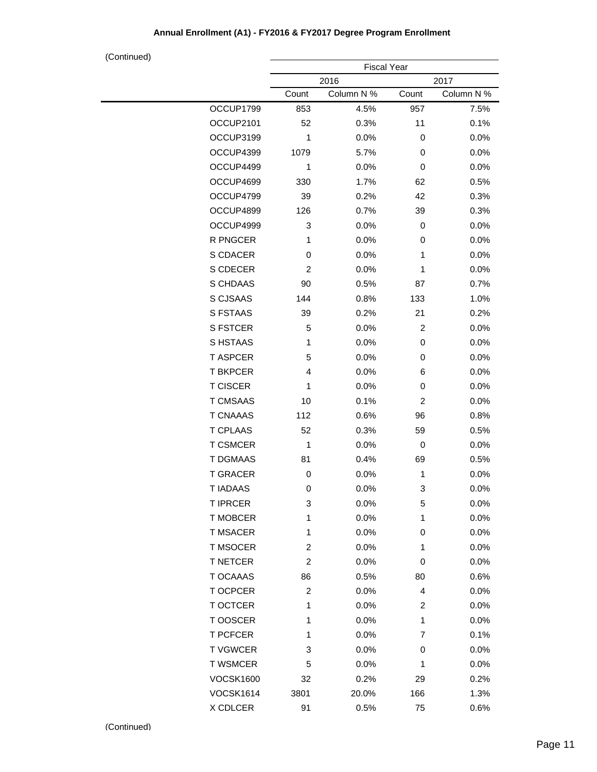|                  |                         | <b>Fiscal Year</b> |       |            |
|------------------|-------------------------|--------------------|-------|------------|
|                  |                         | 2016               |       | 2017       |
|                  | Count                   | Column N %         | Count | Column N % |
| OCCUP1799        | 853                     | 4.5%               | 957   | 7.5%       |
| OCCUP2101        | 52                      | 0.3%               | 11    | 0.1%       |
| OCCUP3199        | 1                       | 0.0%               | 0     | 0.0%       |
| OCCUP4399        | 1079                    | 5.7%               | 0     | 0.0%       |
| OCCUP4499        | 1                       | 0.0%               | 0     | 0.0%       |
| OCCUP4699        | 330                     | 1.7%               | 62    | 0.5%       |
| OCCUP4799        | 39                      | 0.2%               | 42    | 0.3%       |
| OCCUP4899        | 126                     | 0.7%               | 39    | 0.3%       |
| OCCUP4999        | 3                       | 0.0%               | 0     | 0.0%       |
| R PNGCER         | 1                       | 0.0%               | 0     | 0.0%       |
| S CDACER         | 0                       | 0.0%               | 1     | 0.0%       |
| S CDECER         | 2                       | 0.0%               | 1     | 0.0%       |
| S CHDAAS         | 90                      | 0.5%               | 87    | 0.7%       |
| S CJSAAS         | 144                     | 0.8%               | 133   | 1.0%       |
| <b>S FSTAAS</b>  | 39                      | 0.2%               | 21    | 0.2%       |
| <b>S FSTCER</b>  | 5                       | 0.0%               | 2     | 0.0%       |
| S HSTAAS         | 1                       | 0.0%               | 0     | 0.0%       |
| <b>T ASPCER</b>  | 5                       | 0.0%               | 0     | 0.0%       |
| <b>T BKPCER</b>  | 4                       | 0.0%               | 6     | 0.0%       |
| <b>T CISCER</b>  | 1                       | 0.0%               | 0     | 0.0%       |
| <b>T CMSAAS</b>  | 10                      | 0.1%               | 2     | 0.0%       |
| <b>T CNAAAS</b>  | 112                     | 0.6%               | 96    | 0.8%       |
| <b>T CPLAAS</b>  | 52                      | 0.3%               | 59    | 0.5%       |
| <b>T CSMCER</b>  | 1                       | 0.0%               | 0     | 0.0%       |
| <b>T DGMAAS</b>  | 81                      | 0.4%               | 69    | 0.5%       |
| <b>T GRACER</b>  | 0                       | 0.0%               | 1     | 0.0%       |
| <b>TIADAAS</b>   | 0                       | 0.0%               | 3     | 0.0%       |
| T IPRCER         | 3                       | 0.0%               | 5     | 0.0%       |
| T MOBCER         | 1                       | 0.0%               | 1     | 0.0%       |
| <b>T MSACER</b>  | 1                       | 0.0%               | 0     | 0.0%       |
| T MSOCER         | $\overline{\mathbf{c}}$ | 0.0%               | 1     | 0.0%       |
| <b>T NETCER</b>  | $\overline{\mathbf{c}}$ | 0.0%               | 0     | 0.0%       |
| T OCAAAS         | 86                      | 0.5%               | 80    | 0.6%       |
| T OCPCER         | 2                       | 0.0%               | 4     | 0.0%       |
| T OCTCER         | 1                       | 0.0%               | 2     | 0.0%       |
| T OOSCER         | 1                       | 0.0%               | 1     | 0.0%       |
| <b>T PCFCER</b>  | 1                       | 0.0%               | 7     | 0.1%       |
| <b>TVGWCER</b>   | 3                       | $0.0\%$            | 0     | 0.0%       |
| <b>T WSMCER</b>  | 5                       | 0.0%               | 1     | 0.0%       |
| <b>VOCSK1600</b> | 32                      | 0.2%               | 29    | 0.2%       |
| <b>VOCSK1614</b> | 3801                    | 20.0%              | 166   | 1.3%       |
| X CDLCER         | 91                      | 0.5%               | 75    | 0.6%       |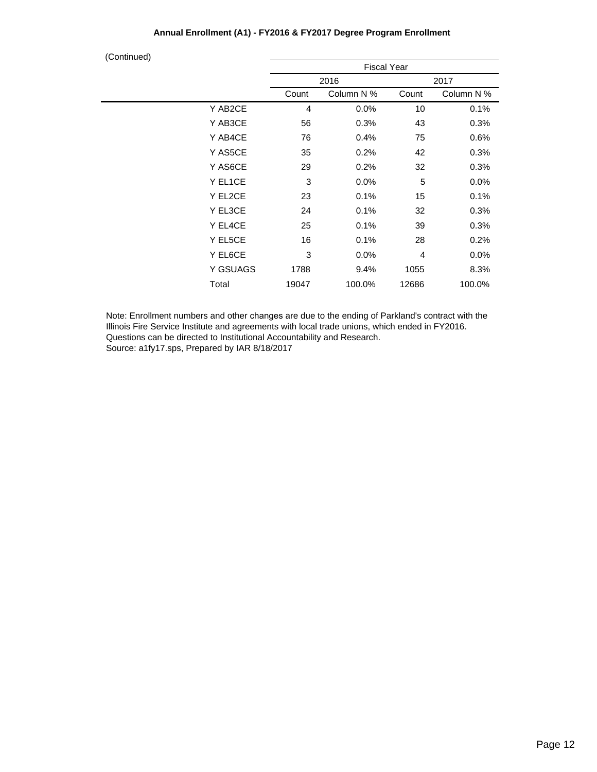| (Continued) |  |
|-------------|--|
|             |  |

| $\sim$ $\sim$ $\sim$ $\sim$ |          | <b>Fiscal Year</b> |            |       |            |  |  |
|-----------------------------|----------|--------------------|------------|-------|------------|--|--|
|                             |          |                    | 2016       |       | 2017       |  |  |
|                             |          | Count              | Column N % | Count | Column N % |  |  |
|                             | Y AB2CE  | 4                  | 0.0%       | 10    | 0.1%       |  |  |
|                             | Y AB3CE  | 56                 | 0.3%       | 43    | 0.3%       |  |  |
|                             | Y AB4CE  | 76                 | 0.4%       | 75    | 0.6%       |  |  |
|                             | Y AS5CE  | 35                 | 0.2%       | 42    | 0.3%       |  |  |
|                             | Y AS6CE  | 29                 | 0.2%       | 32    | 0.3%       |  |  |
|                             | Y EL1CE  | 3                  | 0.0%       | 5     | 0.0%       |  |  |
|                             | Y EL2CE  | 23                 | 0.1%       | 15    | 0.1%       |  |  |
|                             | Y EL3CE  | 24                 | 0.1%       | 32    | 0.3%       |  |  |
|                             | Y EL4CE  | 25                 | 0.1%       | 39    | 0.3%       |  |  |
|                             | Y EL5CE  | 16                 | 0.1%       | 28    | 0.2%       |  |  |
|                             | Y EL6CE  | 3                  | 0.0%       | 4     | 0.0%       |  |  |
|                             | Y GSUAGS | 1788               | 9.4%       | 1055  | 8.3%       |  |  |
|                             | Total    | 19047              | 100.0%     | 12686 | 100.0%     |  |  |
|                             |          |                    |            |       |            |  |  |

Note: Enrollment numbers and other changes are due to the ending of Parkland's contract with the Illinois Fire Service Institute and agreements with local trade unions, which ended in FY2016. Questions can be directed to Institutional Accountability and Research. Source: a1fy17.sps, Prepared by IAR 8/18/2017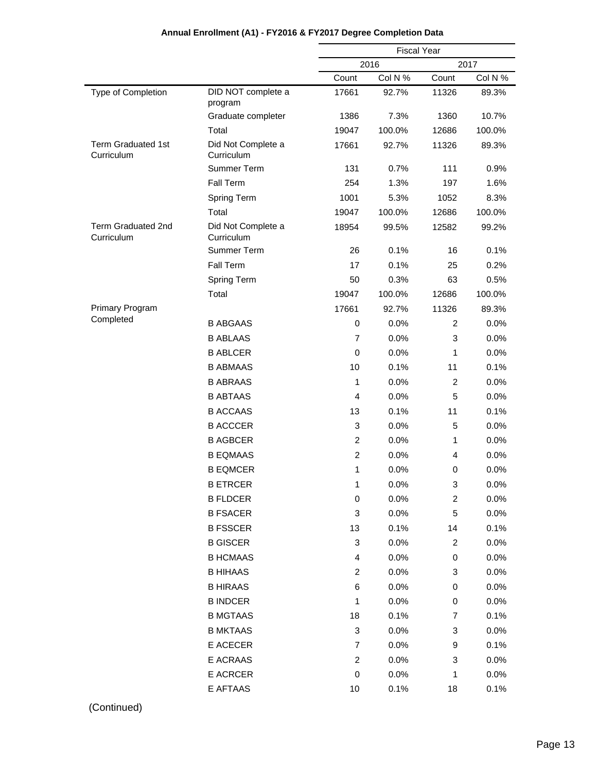|                                         |                                  | <b>Fiscal Year</b> |         |                |         |
|-----------------------------------------|----------------------------------|--------------------|---------|----------------|---------|
|                                         |                                  | 2016<br>2017       |         |                |         |
|                                         |                                  | Count              | Col N % | Count          | Col N % |
| Type of Completion                      | DID NOT complete a<br>program    | 17661              | 92.7%   | 11326          | 89.3%   |
|                                         | Graduate completer               | 1386               | 7.3%    | 1360           | 10.7%   |
|                                         | Total                            | 19047              | 100.0%  | 12686          | 100.0%  |
| <b>Term Graduated 1st</b><br>Curriculum | Did Not Complete a<br>Curriculum | 17661              | 92.7%   | 11326          | 89.3%   |
|                                         | Summer Term                      | 131                | 0.7%    | 111            | 0.9%    |
|                                         | Fall Term                        | 254                | 1.3%    | 197            | 1.6%    |
|                                         | <b>Spring Term</b>               | 1001               | 5.3%    | 1052           | 8.3%    |
|                                         | Total                            | 19047              | 100.0%  | 12686          | 100.0%  |
| <b>Term Graduated 2nd</b><br>Curriculum | Did Not Complete a<br>Curriculum | 18954              | 99.5%   | 12582          | 99.2%   |
|                                         | Summer Term                      | 26                 | 0.1%    | 16             | 0.1%    |
|                                         | <b>Fall Term</b>                 | 17                 | 0.1%    | 25             | 0.2%    |
|                                         | <b>Spring Term</b>               | 50                 | 0.3%    | 63             | 0.5%    |
|                                         | Total                            | 19047              | 100.0%  | 12686          | 100.0%  |
| <b>Primary Program</b>                  |                                  | 17661              | 92.7%   | 11326          | 89.3%   |
| Completed                               | <b>B ABGAAS</b>                  | 0                  | 0.0%    | 2              | 0.0%    |
|                                         | <b>B ABLAAS</b>                  | 7                  | 0.0%    | 3              | 0.0%    |
|                                         | <b>B ABLCER</b>                  | 0                  | 0.0%    | 1              | 0.0%    |
|                                         | <b>B ABMAAS</b>                  | 10                 | 0.1%    | 11             | 0.1%    |
|                                         | <b>B ABRAAS</b>                  | 1                  | 0.0%    | 2              | 0.0%    |
|                                         | <b>B ABTAAS</b>                  | $\overline{4}$     | 0.0%    | 5              | 0.0%    |
|                                         | <b>B ACCAAS</b>                  | 13                 | 0.1%    | 11             | 0.1%    |
|                                         | <b>B ACCCER</b>                  | 3                  | 0.0%    | 5              | 0.0%    |
|                                         | <b>B AGBCER</b>                  | $\overline{c}$     | 0.0%    | 1              | 0.0%    |
|                                         | <b>B EQMAAS</b>                  | $\overline{c}$     | 0.0%    | 4              | 0.0%    |
|                                         | <b>B EQMCER</b>                  | 1                  | 0.0%    | 0              | 0.0%    |
|                                         | <b>B ETRCER</b>                  | 1                  | 0.0%    | 3              | 0.0%    |
|                                         | <b>B FLDCER</b>                  | 0                  | 0.0%    | $\overline{c}$ | 0.0%    |
|                                         | <b>B FSACER</b>                  | 3                  | 0.0%    | 5              | 0.0%    |
|                                         | <b>B FSSCER</b>                  | 13                 | 0.1%    | 14             | 0.1%    |
|                                         | <b>B GISCER</b>                  | 3                  | 0.0%    | $\overline{c}$ | 0.0%    |
|                                         | <b>B HCMAAS</b>                  | 4                  | 0.0%    | 0              | 0.0%    |
|                                         | <b>B HIHAAS</b>                  | $\overline{c}$     | 0.0%    | 3              | 0.0%    |
|                                         | <b>B HIRAAS</b>                  | 6                  | 0.0%    | 0              | 0.0%    |
|                                         | <b>B INDCER</b>                  | 1                  | 0.0%    | $\,0\,$        | 0.0%    |
|                                         | <b>B MGTAAS</b>                  | 18                 | 0.1%    | 7              | 0.1%    |
|                                         | <b>B MKTAAS</b>                  | 3                  | 0.0%    | 3              | 0.0%    |
|                                         | E ACECER                         | $\overline{7}$     | 0.0%    | 9              | 0.1%    |
|                                         | E ACRAAS                         | $\overline{c}$     | 0.0%    | 3              | 0.0%    |
|                                         | E ACRCER                         | 0                  | 0.0%    | 1              | 0.0%    |
|                                         | E AFTAAS                         | 10                 | 0.1%    | 18             | 0.1%    |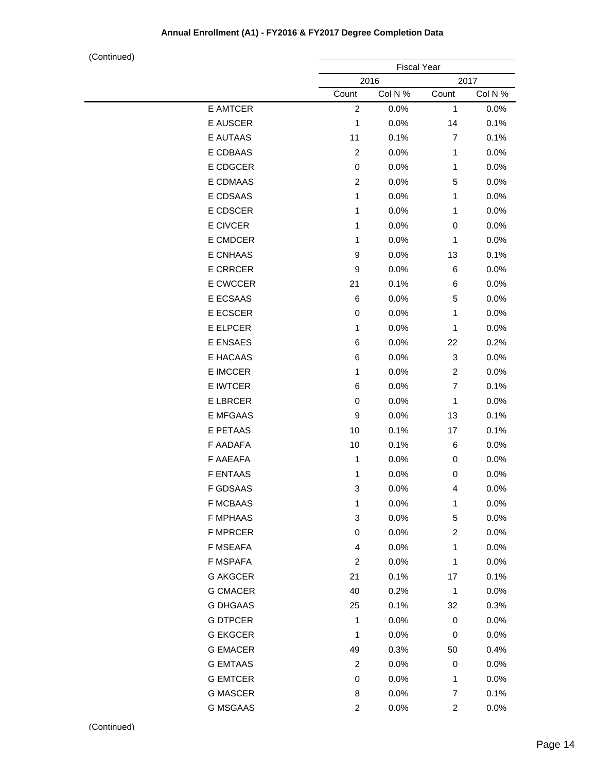|                 | <b>Fiscal Year</b> |         |                  |         |
|-----------------|--------------------|---------|------------------|---------|
|                 | 2016<br>2017       |         |                  |         |
|                 | Count              | Col N % | Count            | Col N % |
| E AMTCER        | $\overline{2}$     | 0.0%    | $\mathbf{1}$     | 0.0%    |
| E AUSCER        | 1                  | 0.0%    | 14               | 0.1%    |
| E AUTAAS        | 11                 | 0.1%    | $\overline{7}$   | 0.1%    |
| E CDBAAS        | $\overline{c}$     | 0.0%    | $\mathbf{1}$     | 0.0%    |
| E CDGCER        | $\pmb{0}$          | 0.0%    | 1                | 0.0%    |
| E CDMAAS        | $\overline{c}$     | 0.0%    | 5                | 0.0%    |
| E CDSAAS        | 1                  | 0.0%    | 1                | 0.0%    |
| E CDSCER        | 1                  | 0.0%    | 1                | 0.0%    |
| E CIVCER        | 1                  | 0.0%    | 0                | 0.0%    |
| E CMDCER        | 1                  | 0.0%    | $\mathbf{1}$     | 0.0%    |
| <b>E CNHAAS</b> | 9                  | 0.0%    | 13               | 0.1%    |
| <b>E CRRCER</b> | 9                  | 0.0%    | 6                | 0.0%    |
| E CWCCER        | 21                 | 0.1%    | 6                | 0.0%    |
| E ECSAAS        | $\,6$              | 0.0%    | 5                | 0.0%    |
| E ECSCER        | 0                  | 0.0%    | 1                | 0.0%    |
| E ELPCER        | 1                  | 0.0%    | 1                | 0.0%    |
| <b>E ENSAES</b> | 6                  | 0.0%    | 22               | 0.2%    |
| E HACAAS        | $\,6$              | 0.0%    | 3                | 0.0%    |
| E IMCCER        | 1                  | 0.0%    | $\overline{c}$   | 0.0%    |
| E IWTCER        | $\,6$              | 0.0%    | $\overline{7}$   | 0.1%    |
| <b>E LBRCER</b> | $\pmb{0}$          | 0.0%    | $\mathbf{1}$     | 0.0%    |
| <b>E MFGAAS</b> | 9                  | 0.0%    | 13               | 0.1%    |
| E PETAAS        | 10                 | 0.1%    | 17               | 0.1%    |
| F AADAFA        | 10                 | 0.1%    | 6                | 0.0%    |
| F AAEAFA        | $\mathbf{1}$       | 0.0%    | 0                | 0.0%    |
| <b>F ENTAAS</b> | 1                  | 0.0%    | 0                | 0.0%    |
| <b>F GDSAAS</b> | 3                  | 0.0%    | 4                | 0.0%    |
| <b>F MCBAAS</b> | 1                  | 0.0%    | $\mathbf{1}$     | 0.0%    |
| <b>F MPHAAS</b> | 3                  | 0.0%    | 5                | 0.0%    |
| <b>F MPRCER</b> | $\,0\,$            | 0.0%    | $\boldsymbol{2}$ | 0.0%    |
| <b>F MSEAFA</b> | 4                  | 0.0%    | 1                | 0.0%    |
| F MSPAFA        | $\overline{c}$     | 0.0%    | 1                | 0.0%    |
| <b>G AKGCER</b> | 21                 | 0.1%    | 17               | 0.1%    |
| <b>G CMACER</b> | 40                 | 0.2%    | $\mathbf{1}$     | 0.0%    |
| <b>G DHGAAS</b> | 25                 | 0.1%    | 32               | 0.3%    |
| <b>G DTPCER</b> | 1                  | 0.0%    | 0                | 0.0%    |
| <b>G EKGCER</b> | 1                  | 0.0%    | 0                | 0.0%    |
| <b>G EMACER</b> | 49                 | 0.3%    | 50               | 0.4%    |
| <b>G EMTAAS</b> | $\overline{c}$     | 0.0%    | 0                | 0.0%    |
| <b>G EMTCER</b> | $\,0\,$            | 0.0%    | $\mathbf{1}$     | 0.0%    |
| <b>G MASCER</b> | 8                  | 0.0%    | 7                | 0.1%    |
| <b>G MSGAAS</b> | $\overline{c}$     | 0.0%    | $\overline{c}$   | 0.0%    |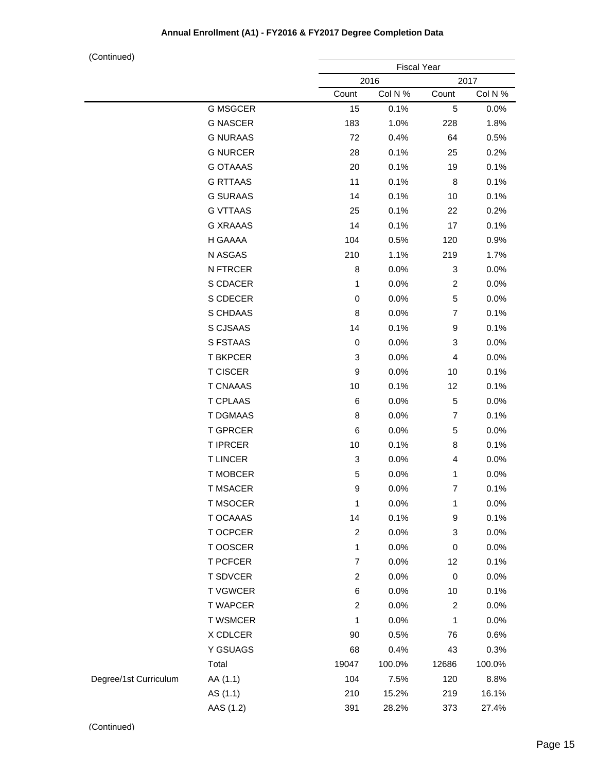|                       |                 | <b>Fiscal Year</b>      |         |                         |         |
|-----------------------|-----------------|-------------------------|---------|-------------------------|---------|
|                       |                 | 2016<br>2017            |         |                         |         |
|                       |                 | Count                   | Col N % | Count                   | Col N % |
|                       | <b>G MSGCER</b> | 15                      | 0.1%    | 5                       | 0.0%    |
|                       | <b>G NASCER</b> | 183                     | 1.0%    | 228                     | 1.8%    |
|                       | <b>G NURAAS</b> | 72                      | 0.4%    | 64                      | 0.5%    |
|                       | <b>G NURCER</b> | 28                      | 0.1%    | 25                      | 0.2%    |
|                       | <b>G OTAAAS</b> | 20                      | 0.1%    | 19                      | 0.1%    |
|                       | <b>G RTTAAS</b> | 11                      | 0.1%    | 8                       | 0.1%    |
|                       | <b>G SURAAS</b> | 14                      | 0.1%    | 10                      | 0.1%    |
|                       | <b>G VTTAAS</b> | 25                      | 0.1%    | 22                      | 0.2%    |
|                       | <b>G XRAAAS</b> | 14                      | 0.1%    | 17                      | 0.1%    |
|                       | H GAAAA         | 104                     | 0.5%    | 120                     | 0.9%    |
|                       | N ASGAS         | 210                     | 1.1%    | 219                     | 1.7%    |
|                       | N FTRCER        | 8                       | 0.0%    | 3                       | 0.0%    |
|                       | S CDACER        | 1                       | 0.0%    | $\overline{\mathbf{c}}$ | 0.0%    |
|                       | S CDECER        | 0                       | 0.0%    | 5                       | 0.0%    |
|                       | S CHDAAS        | 8                       | 0.0%    | 7                       | 0.1%    |
|                       | S CJSAAS        | 14                      | 0.1%    | 9                       | 0.1%    |
|                       | S FSTAAS        | $\,0\,$                 | 0.0%    | 3                       | 0.0%    |
|                       | <b>T BKPCER</b> | 3                       | 0.0%    | 4                       | 0.0%    |
|                       | <b>T CISCER</b> | 9                       | 0.0%    | 10                      | 0.1%    |
|                       | <b>T CNAAAS</b> | 10                      | 0.1%    | 12                      | 0.1%    |
|                       | <b>T CPLAAS</b> | 6                       | 0.0%    | 5                       | 0.0%    |
|                       | <b>T DGMAAS</b> | 8                       | 0.0%    | 7                       | 0.1%    |
|                       | <b>T GPRCER</b> | 6                       | 0.0%    | 5                       | 0.0%    |
|                       | <b>T IPRCER</b> | 10                      | 0.1%    | 8                       | 0.1%    |
|                       | <b>TLINCER</b>  | 3                       | 0.0%    | 4                       | 0.0%    |
|                       | <b>T MOBCER</b> | 5                       | 0.0%    | 1                       | 0.0%    |
|                       | <b>T MSACER</b> | 9                       | 0.0%    | 7                       | 0.1%    |
|                       | <b>T MSOCER</b> | 1                       | 0.0%    | 1                       | 0.0%    |
|                       | T OCAAAS        | 14                      | 0.1%    | 9                       | 0.1%    |
|                       | T OCPCER        | $\overline{\mathbf{c}}$ | 0.0%    | 3                       | 0.0%    |
|                       | T OOSCER        | 1                       | 0.0%    | 0                       | 0.0%    |
|                       | <b>T PCFCER</b> | $\overline{7}$          | 0.0%    | 12                      | 0.1%    |
|                       | <b>T SDVCER</b> | 2                       | 0.0%    | $\mathbf 0$             | 0.0%    |
|                       | <b>TVGWCER</b>  | 6                       | 0.0%    | 10                      | 0.1%    |
|                       | <b>T WAPCER</b> | $\overline{c}$          | 0.0%    | $\overline{\mathbf{c}}$ | 0.0%    |
|                       | <b>T WSMCER</b> | 1                       | 0.0%    | 1                       | 0.0%    |
|                       | X CDLCER        | 90                      | 0.5%    | 76                      | 0.6%    |
|                       | Y GSUAGS        | 68                      | 0.4%    | 43                      | 0.3%    |
|                       | Total           | 19047                   | 100.0%  | 12686                   | 100.0%  |
| Degree/1st Curriculum | AA (1.1)        | 104                     | 7.5%    | 120                     | 8.8%    |
|                       | AS (1.1)        | 210                     | 15.2%   | 219                     | 16.1%   |
|                       | AAS (1.2)       | 391                     | 28.2%   | 373                     | 27.4%   |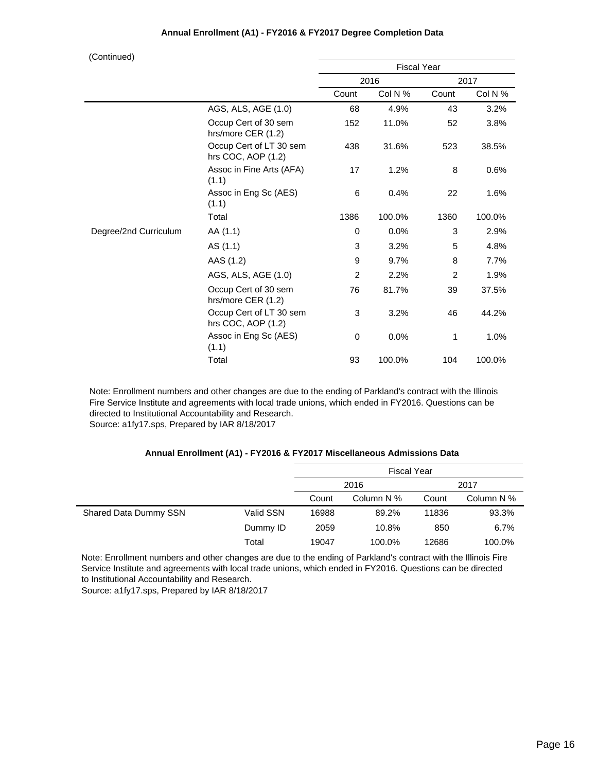| (Continued)           |                                               |                    |         |       |         |
|-----------------------|-----------------------------------------------|--------------------|---------|-------|---------|
|                       |                                               | <b>Fiscal Year</b> |         |       |         |
|                       |                                               |                    | 2016    |       | 2017    |
|                       |                                               | Count              | Col N % | Count | Col N % |
|                       | AGS, ALS, AGE (1.0)                           | 68                 | 4.9%    | 43    | 3.2%    |
|                       | Occup Cert of 30 sem<br>hrs/more CER (1.2)    | 152                | 11.0%   | 52    | 3.8%    |
|                       | Occup Cert of LT 30 sem<br>hrs COC, AOP (1.2) | 438                | 31.6%   | 523   | 38.5%   |
|                       | Assoc in Fine Arts (AFA)<br>(1.1)             | 17                 | 1.2%    | 8     | 0.6%    |
|                       | Assoc in Eng Sc (AES)<br>(1.1)                | 6                  | 0.4%    | 22    | 1.6%    |
|                       | Total                                         | 1386               | 100.0%  | 1360  | 100.0%  |
| Degree/2nd Curriculum | AA (1.1)                                      | 0                  | 0.0%    | 3     | 2.9%    |
|                       | AS (1.1)                                      | 3                  | 3.2%    | 5     | 4.8%    |
|                       | AAS (1.2)                                     | 9                  | 9.7%    | 8     | 7.7%    |
|                       | AGS, ALS, AGE (1.0)                           | $\overline{2}$     | 2.2%    | 2     | 1.9%    |
|                       | Occup Cert of 30 sem<br>hrs/more CER (1.2)    | 76                 | 81.7%   | 39    | 37.5%   |
|                       | Occup Cert of LT 30 sem<br>hrs COC, AOP (1.2) | 3                  | 3.2%    | 46    | 44.2%   |
|                       | Assoc in Eng Sc (AES)<br>(1.1)                | 0                  | 0.0%    | 1     | 1.0%    |
|                       | Total                                         | 93                 | 100.0%  | 104   | 100.0%  |

Note: Enrollment numbers and other changes are due to the ending of Parkland's contract with the Illinois Fire Service Institute and agreements with local trade unions, which ended in FY2016. Questions can be directed to Institutional Accountability and Research. Source: a1fy17.sps, Prepared by IAR 8/18/2017

#### **Annual Enrollment (A1) - FY2016 & FY2017 Miscellaneous Admissions Data**

|                       |           | <b>Fiscal Year</b> |            |       |            |  |
|-----------------------|-----------|--------------------|------------|-------|------------|--|
|                       |           | 2016<br>2017       |            |       |            |  |
|                       |           | Count              | Column N % | Count | Column N % |  |
| Shared Data Dummy SSN | Valid SSN | 16988              | 89.2%      | 11836 | 93.3%      |  |
|                       | Dummy ID  | 2059               | 10.8%      | 850   | 6.7%       |  |
|                       | Total     | 19047              | 100.0%     | 12686 | 100.0%     |  |

Note: Enrollment numbers and other changes are due to the ending of Parkland's contract with the Illinois Fire Service Institute and agreements with local trade unions, which ended in FY2016. Questions can be directed to Institutional Accountability and Research.

Source: a1fy17.sps, Prepared by IAR 8/18/2017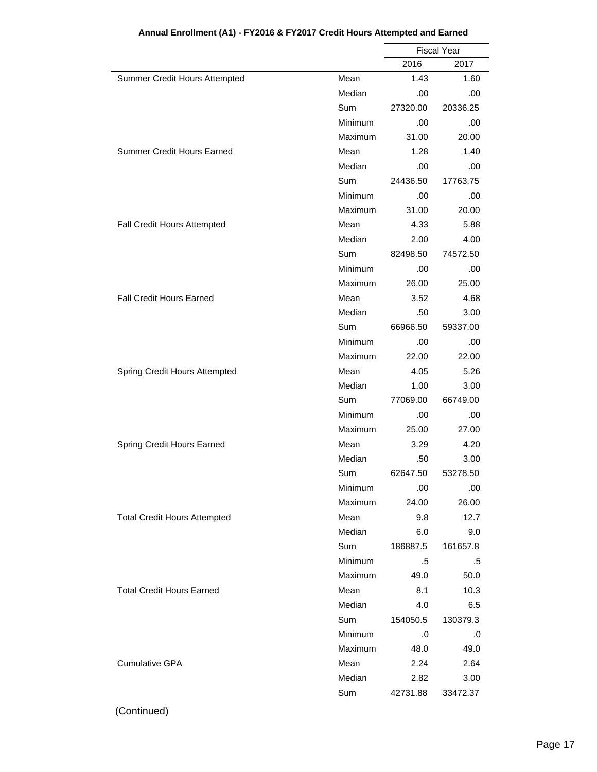|                                     |         | <b>Fiscal Year</b> |          |  |
|-------------------------------------|---------|--------------------|----------|--|
|                                     |         | 2016               | 2017     |  |
| Summer Credit Hours Attempted       | Mean    | 1.43               | 1.60     |  |
|                                     | Median  | .00                | .00      |  |
|                                     | Sum     | 27320.00           | 20336.25 |  |
|                                     | Minimum | .00                | .00      |  |
|                                     | Maximum | 31.00              | 20.00    |  |
| <b>Summer Credit Hours Earned</b>   | Mean    | 1.28               | 1.40     |  |
|                                     | Median  | .00                | .00      |  |
|                                     | Sum     | 24436.50           | 17763.75 |  |
|                                     | Minimum | .00                | .00      |  |
|                                     | Maximum | 31.00              | 20.00    |  |
| Fall Credit Hours Attempted         | Mean    | 4.33               | 5.88     |  |
|                                     | Median  | 2.00               | 4.00     |  |
|                                     | Sum     | 82498.50           | 74572.50 |  |
|                                     | Minimum | .00                | .00      |  |
|                                     | Maximum | 26.00              | 25.00    |  |
| <b>Fall Credit Hours Earned</b>     | Mean    | 3.52               | 4.68     |  |
|                                     | Median  | .50                | 3.00     |  |
|                                     | Sum     | 66966.50           | 59337.00 |  |
|                                     | Minimum | .00                | .00      |  |
|                                     | Maximum | 22.00              | 22.00    |  |
| Spring Credit Hours Attempted       | Mean    | 4.05               | 5.26     |  |
|                                     | Median  | 1.00               | 3.00     |  |
|                                     | Sum     | 77069.00           | 66749.00 |  |
|                                     | Minimum | .00                | .00      |  |
|                                     | Maximum | 25.00              | 27.00    |  |
| Spring Credit Hours Earned          | Mean    | 3.29               | 4.20     |  |
|                                     | Median  | .50                | 3.00     |  |
|                                     | Sum     | 62647.50           | 53278.50 |  |
|                                     | Minimum | .00                | .00      |  |
|                                     | Maximum | 24.00              | 26.00    |  |
| <b>Total Credit Hours Attempted</b> | Mean    | 9.8                | 12.7     |  |
|                                     | Median  | 6.0                | 9.0      |  |
|                                     | Sum     | 186887.5           | 161657.8 |  |
|                                     | Minimum | .5                 | .5       |  |
|                                     | Maximum | 49.0               | 50.0     |  |
| <b>Total Credit Hours Earned</b>    | Mean    | 8.1                | 10.3     |  |
|                                     | Median  | 4.0                | 6.5      |  |
|                                     | Sum     | 154050.5           | 130379.3 |  |
|                                     | Minimum | .0                 | .0       |  |
|                                     | Maximum | 48.0               | 49.0     |  |
| <b>Cumulative GPA</b>               | Mean    | 2.24               | 2.64     |  |
|                                     | Median  | 2.82               | 3.00     |  |
|                                     | Sum     | 42731.88           | 33472.37 |  |
|                                     |         |                    |          |  |

# **Annual Enrollment (A1) - FY2016 & FY2017 Credit Hours Attempted and Earned**